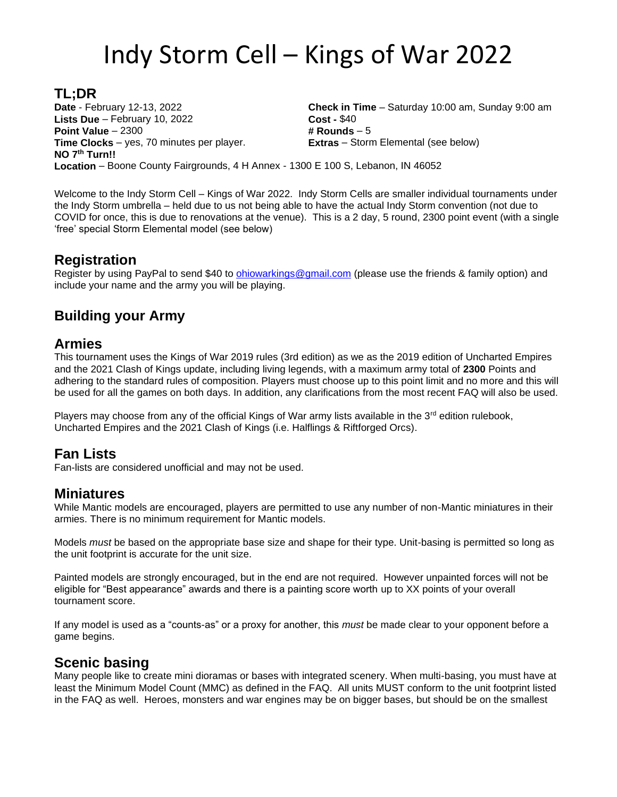# Indy Storm Cell – Kings of War 2022

**TL;DR Date** - February 12-13, 2022 **Check in Time** – Saturday 10:00 am, Sunday 9:00 am **Lists Due** – February 10, 2022 **Cost - \$40 Point Value** – 2300 **# Rounds** – 5 **Time Clocks** – yes, 70 minutes per player. **Extras** – Storm Elemental (see below) **NO 7th Turn!! Location** – Boone County Fairgrounds, 4 H Annex - 1300 E 100 S, Lebanon, IN 46052

Welcome to the Indy Storm Cell – Kings of War 2022. Indy Storm Cells are smaller individual tournaments under the Indy Storm umbrella – held due to us not being able to have the actual Indy Storm convention (not due to COVID for once, this is due to renovations at the venue). This is a 2 day, 5 round, 2300 point event (with a single 'free' special Storm Elemental model (see below)

# **Registration**

Register by using PayPal to send \$40 to [ohiowarkings@gmail.com](mailto:ohiowarkings@gmail.com) (please use the friends & family option) and include your name and the army you will be playing.

# **Building your Army**

# **Armies**

This tournament uses the Kings of War 2019 rules (3rd edition) as we as the 2019 edition of Uncharted Empires and the 2021 Clash of Kings update, including living legends, with a maximum army total of **2300** Points and adhering to the standard rules of composition. Players must choose up to this point limit and no more and this will be used for all the games on both days. In addition, any clarifications from the most recent FAQ will also be used.

Players may choose from any of the official Kings of War army lists available in the 3<sup>rd</sup> edition rulebook, Uncharted Empires and the 2021 Clash of Kings (i.e. Halflings & Riftforged Orcs).

# **Fan Lists**

Fan-lists are considered unofficial and may not be used.

# **Miniatures**

While Mantic models are encouraged, players are permitted to use any number of non-Mantic miniatures in their armies. There is no minimum requirement for Mantic models.

Models *must* be based on the appropriate base size and shape for their type. Unit-basing is permitted so long as the unit footprint is accurate for the unit size.

Painted models are strongly encouraged, but in the end are not required. However unpainted forces will not be eligible for "Best appearance" awards and there is a painting score worth up to XX points of your overall tournament score.

If any model is used as a "counts-as" or a proxy for another, this *must* be made clear to your opponent before a game begins.

#### **Scenic basing**

Many people like to create mini dioramas or bases with integrated scenery. When multi-basing, you must have at least the Minimum Model Count (MMC) as defined in the FAQ. All units MUST conform to the unit footprint listed in the FAQ as well. Heroes, monsters and war engines may be on bigger bases, but should be on the smallest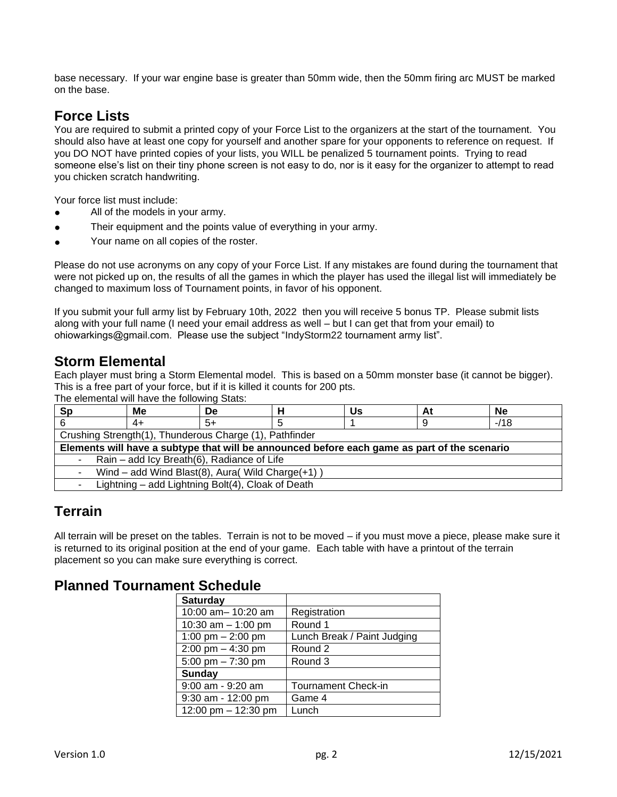base necessary. If your war engine base is greater than 50mm wide, then the 50mm firing arc MUST be marked on the base.

# **Force Lists**

You are required to submit a printed copy of your Force List to the organizers at the start of the tournament. You should also have at least one copy for yourself and another spare for your opponents to reference on request. If you DO NOT have printed copies of your lists, you WILL be penalized 5 tournament points. Trying to read someone else's list on their tiny phone screen is not easy to do, nor is it easy for the organizer to attempt to read you chicken scratch handwriting.

Your force list must include:

- All of the models in your army.
- Their equipment and the points value of everything in your army.
- Your name on all copies of the roster.

Please do not use acronyms on any copy of your Force List. If any mistakes are found during the tournament that were not picked up on, the results of all the games in which the player has used the illegal list will immediately be changed to maximum loss of Tournament points, in favor of his opponent.

If you submit your full army list by February 10th, 2022 then you will receive 5 bonus TP. Please submit lists along with your full name (I need your email address as well – but I can get that from your email) to ohiowarkings@gmail.com. Please use the subject "IndyStorm22 tournament army list".

# **Storm Elemental**

Each player must bring a Storm Elemental model. This is based on a 50mm monster base (it cannot be bigger). This is a free part of your force, but if it is killed it counts for 200 pts.

The elemental will have the following Stats:

| <b>Sp</b>                                                                                    | Мe                                                | De   |  | Us | At | <b>Ne</b> |
|----------------------------------------------------------------------------------------------|---------------------------------------------------|------|--|----|----|-----------|
|                                                                                              | 4+                                                | $5+$ |  |    | 9  | $-118$    |
| Crushing Strength(1), Thunderous Charge (1), Pathfinder                                      |                                                   |      |  |    |    |           |
| Elements will have a subtype that will be announced before each game as part of the scenario |                                                   |      |  |    |    |           |
| Rain - add Icy Breath(6), Radiance of Life<br>$\sim 100$                                     |                                                   |      |  |    |    |           |
| Wind - add Wind Blast(8), Aura( Wild Charge(+1))<br>$\sim$                                   |                                                   |      |  |    |    |           |
|                                                                                              | Lightning – add Lightning Bolt(4), Cloak of Death |      |  |    |    |           |

# **Terrain**

All terrain will be preset on the tables. Terrain is not to be moved – if you must move a piece, please make sure it is returned to its original position at the end of your game. Each table with have a printout of the terrain placement so you can make sure everything is correct.

# **Planned Tournament Schedule**

| <b>Saturday</b>      |                             |  |  |
|----------------------|-----------------------------|--|--|
| 10:00 am- 10:20 am   | Registration                |  |  |
| 10:30 am $-$ 1:00 pm | Round 1                     |  |  |
| 1:00 pm $-$ 2:00 pm  | Lunch Break / Paint Judging |  |  |
| 2:00 pm $-$ 4:30 pm  | Round 2                     |  |  |
| 5:00 pm $- 7:30$ pm  | Round 3                     |  |  |
| Sunday               |                             |  |  |
| 9:00 am - 9:20 am    | Tournament Check-in         |  |  |
| 9:30 am - 12:00 pm   | Game 4                      |  |  |
| 12:00 pm - 12:30 pm  | Lunch                       |  |  |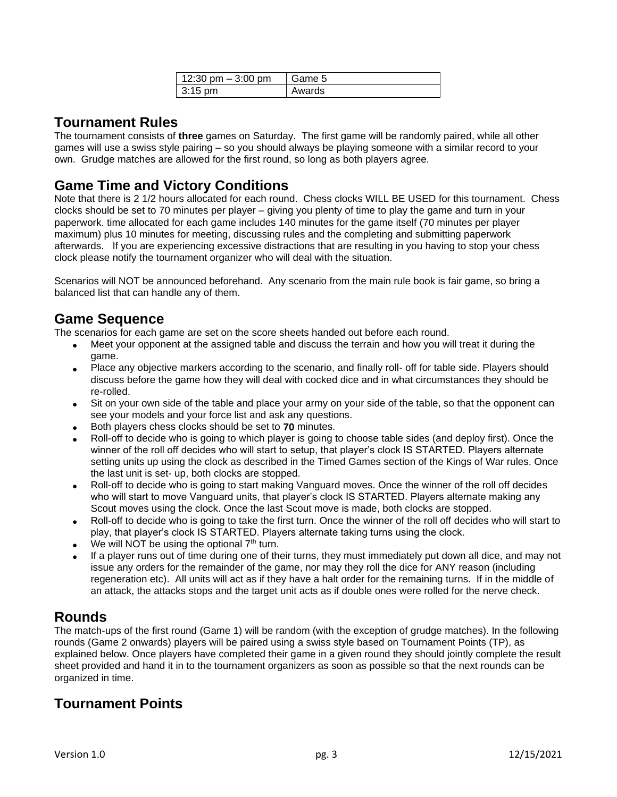| 12:30 pm $-$ 3:00 pm | Game 5 |
|----------------------|--------|
| $\vert$ 3:15 pm      | Awards |

# **Tournament Rules**

The tournament consists of **three** games on Saturday. The first game will be randomly paired, while all other games will use a swiss style pairing – so you should always be playing someone with a similar record to your own. Grudge matches are allowed for the first round, so long as both players agree.

# **Game Time and Victory Conditions**

Note that there is 2 1/2 hours allocated for each round. Chess clocks WILL BE USED for this tournament. Chess clocks should be set to 70 minutes per player – giving you plenty of time to play the game and turn in your paperwork. time allocated for each game includes 140 minutes for the game itself (70 minutes per player maximum) plus 10 minutes for meeting, discussing rules and the completing and submitting paperwork afterwards. If you are experiencing excessive distractions that are resulting in you having to stop your chess clock please notify the tournament organizer who will deal with the situation.

Scenarios will NOT be announced beforehand. Any scenario from the main rule book is fair game, so bring a balanced list that can handle any of them.

# **Game Sequence**

The scenarios for each game are set on the score sheets handed out before each round.

- Meet your opponent at the assigned table and discuss the terrain and how you will treat it during the game.
- Place any objective markers according to the scenario, and finally roll- off for table side. Players should discuss before the game how they will deal with cocked dice and in what circumstances they should be re-rolled.
- Sit on your own side of the table and place your army on your side of the table, so that the opponent can see your models and your force list and ask any questions.
- Both players chess clocks should be set to **70** minutes.
- Roll-off to decide who is going to which player is going to choose table sides (and deploy first). Once the winner of the roll off decides who will start to setup, that player's clock IS STARTED. Players alternate setting units up using the clock as described in the Timed Games section of the Kings of War rules. Once the last unit is set- up, both clocks are stopped.
- Roll-off to decide who is going to start making Vanguard moves. Once the winner of the roll off decides who will start to move Vanguard units, that player's clock IS STARTED. Players alternate making any Scout moves using the clock. Once the last Scout move is made, both clocks are stopped.
- Roll-off to decide who is going to take the first turn. Once the winner of the roll off decides who will start to play, that player's clock IS STARTED. Players alternate taking turns using the clock.
- We will NOT be using the optional  $7<sup>th</sup>$  turn.
- If a player runs out of time during one of their turns, they must immediately put down all dice, and may not issue any orders for the remainder of the game, nor may they roll the dice for ANY reason (including regeneration etc). All units will act as if they have a halt order for the remaining turns. If in the middle of an attack, the attacks stops and the target unit acts as if double ones were rolled for the nerve check.

# **Rounds**

The match-ups of the first round (Game 1) will be random (with the exception of grudge matches). In the following rounds (Game 2 onwards) players will be paired using a swiss style based on Tournament Points (TP), as explained below. Once players have completed their game in a given round they should jointly complete the result sheet provided and hand it in to the tournament organizers as soon as possible so that the next rounds can be organized in time.

# **Tournament Points**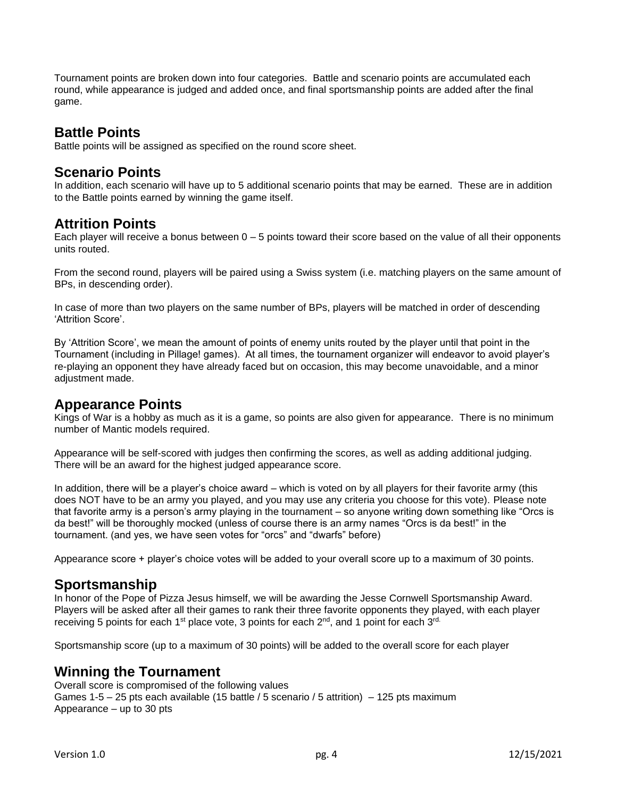Tournament points are broken down into four categories. Battle and scenario points are accumulated each round, while appearance is judged and added once, and final sportsmanship points are added after the final game.

#### **Battle Points**

Battle points will be assigned as specified on the round score sheet.

# **Scenario Points**

In addition, each scenario will have up to 5 additional scenario points that may be earned. These are in addition to the Battle points earned by winning the game itself.

# **Attrition Points**

Each player will receive a bonus between  $0 - 5$  points toward their score based on the value of all their opponents units routed.

From the second round, players will be paired using a Swiss system (i.e. matching players on the same amount of BPs, in descending order).

In case of more than two players on the same number of BPs, players will be matched in order of descending 'Attrition Score'.

By 'Attrition Score', we mean the amount of points of enemy units routed by the player until that point in the Tournament (including in Pillage! games). At all times, the tournament organizer will endeavor to avoid player's re-playing an opponent they have already faced but on occasion, this may become unavoidable, and a minor adjustment made.

#### **Appearance Points**

Kings of War is a hobby as much as it is a game, so points are also given for appearance. There is no minimum number of Mantic models required.

Appearance will be self-scored with judges then confirming the scores, as well as adding additional judging. There will be an award for the highest judged appearance score.

In addition, there will be a player's choice award – which is voted on by all players for their favorite army (this does NOT have to be an army you played, and you may use any criteria you choose for this vote). Please note that favorite army is a person's army playing in the tournament – so anyone writing down something like "Orcs is da best!" will be thoroughly mocked (unless of course there is an army names "Orcs is da best!" in the tournament. (and yes, we have seen votes for "orcs" and "dwarfs" before)

Appearance score + player's choice votes will be added to your overall score up to a maximum of 30 points.

# **Sportsmanship**

In honor of the Pope of Pizza Jesus himself, we will be awarding the Jesse Cornwell Sportsmanship Award. Players will be asked after all their games to rank their three favorite opponents they played, with each player receiving 5 points for each 1<sup>st</sup> place vote, 3 points for each 2<sup>nd</sup>, and 1 point for each 3<sup>rd.</sup>

Sportsmanship score (up to a maximum of 30 points) will be added to the overall score for each player

# **Winning the Tournament**

Overall score is compromised of the following values Games 1-5 – 25 pts each available (15 battle / 5 scenario / 5 attrition) – 125 pts maximum Appearance – up to 30 pts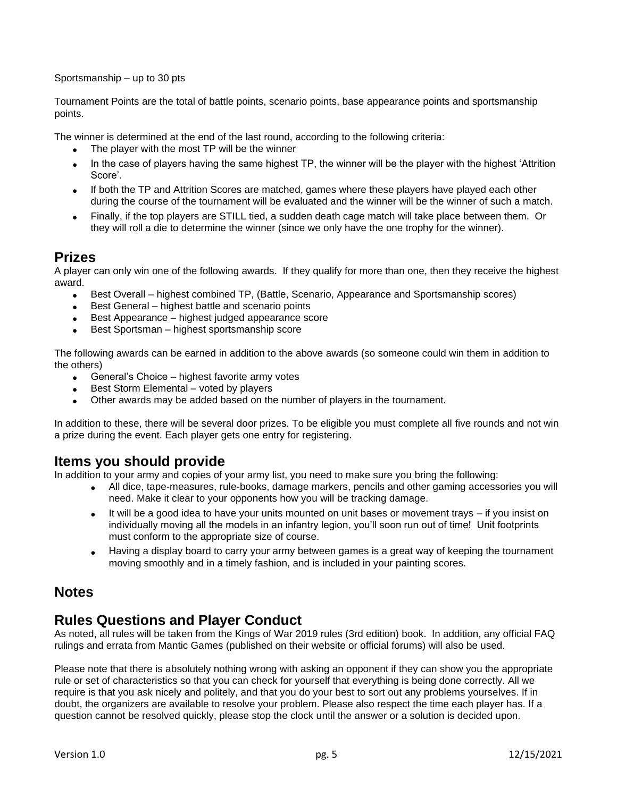Sportsmanship – up to 30 pts

Tournament Points are the total of battle points, scenario points, base appearance points and sportsmanship points.

The winner is determined at the end of the last round, according to the following criteria:

- The player with the most TP will be the winner
- In the case of players having the same highest TP, the winner will be the player with the highest 'Attrition Score'.
- If both the TP and Attrition Scores are matched, games where these players have played each other during the course of the tournament will be evaluated and the winner will be the winner of such a match.
- Finally, if the top players are STILL tied, a sudden death cage match will take place between them. Or they will roll a die to determine the winner (since we only have the one trophy for the winner).

# **Prizes**

A player can only win one of the following awards. If they qualify for more than one, then they receive the highest award.

- Best Overall highest combined TP, (Battle, Scenario, Appearance and Sportsmanship scores)
- Best General highest battle and scenario points
- Best Appearance highest judged appearance score
- Best Sportsman highest sportsmanship score

The following awards can be earned in addition to the above awards (so someone could win them in addition to the others)

- General's Choice highest favorite army votes
- Best Storm Elemental voted by players
- Other awards may be added based on the number of players in the tournament.

In addition to these, there will be several door prizes. To be eligible you must complete all five rounds and not win a prize during the event. Each player gets one entry for registering.

# **Items you should provide**

In addition to your army and copies of your army list, you need to make sure you bring the following:

- All dice, tape-measures, rule-books, damage markers, pencils and other gaming accessories you will need. Make it clear to your opponents how you will be tracking damage.
- It will be a good idea to have your units mounted on unit bases or movement trays if you insist on individually moving all the models in an infantry legion, you'll soon run out of time! Unit footprints must conform to the appropriate size of course.
- Having a display board to carry your army between games is a great way of keeping the tournament moving smoothly and in a timely fashion, and is included in your painting scores.

# **Notes**

# **Rules Questions and Player Conduct**

As noted, all rules will be taken from the Kings of War 2019 rules (3rd edition) book. In addition, any official FAQ rulings and errata from Mantic Games (published on their website or official forums) will also be used.

Please note that there is absolutely nothing wrong with asking an opponent if they can show you the appropriate rule or set of characteristics so that you can check for yourself that everything is being done correctly. All we require is that you ask nicely and politely, and that you do your best to sort out any problems yourselves. If in doubt, the organizers are available to resolve your problem. Please also respect the time each player has. If a question cannot be resolved quickly, please stop the clock until the answer or a solution is decided upon.